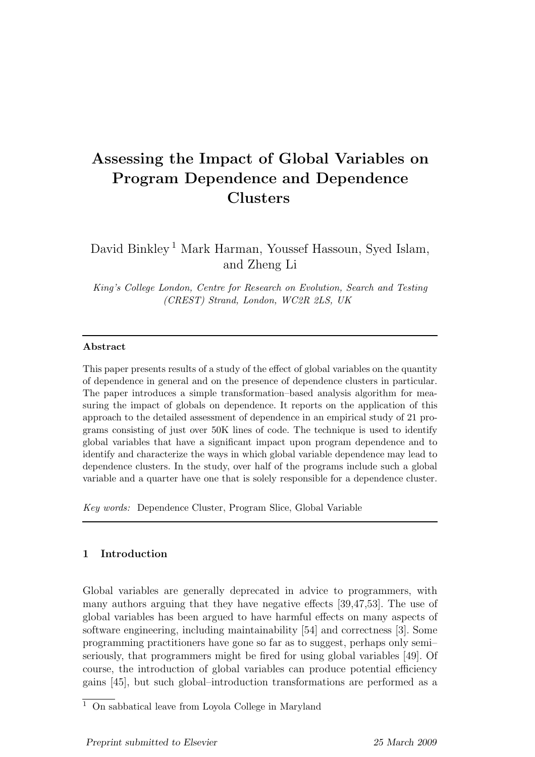# Assessing the Impact of Global Variables on Program Dependence and Dependence Clusters

David Binkley<sup>1</sup> Mark Harman, Youssef Hassoun, Syed Islam, and Zheng Li

King's College London, Centre for Research on Evolution, Search and Testing (CREST) Strand, London, WC2R 2LS, UK

## Abstract

This paper presents results of a study of the effect of global variables on the quantity of dependence in general and on the presence of dependence clusters in particular. The paper introduces a simple transformation–based analysis algorithm for measuring the impact of globals on dependence. It reports on the application of this approach to the detailed assessment of dependence in an empirical study of 21 programs consisting of just over 50K lines of code. The technique is used to identify global variables that have a significant impact upon program dependence and to identify and characterize the ways in which global variable dependence may lead to dependence clusters. In the study, over half of the programs include such a global variable and a quarter have one that is solely responsible for a dependence cluster.

Key words: Dependence Cluster, Program Slice, Global Variable

# 1 Introduction

Global variables are generally deprecated in advice to programmers, with many authors arguing that they have negative effects [39,47,53]. The use of global variables has been argued to have harmful effects on many aspects of software engineering, including maintainability [54] and correctness [3]. Some programming practitioners have gone so far as to suggest, perhaps only semi– seriously, that programmers might be fired for using global variables [49]. Of course, the introduction of global variables can produce potential efficiency gains [45], but such global–introduction transformations are performed as a

 $\overline{1}$  On sabbatical leave from Loyola College in Maryland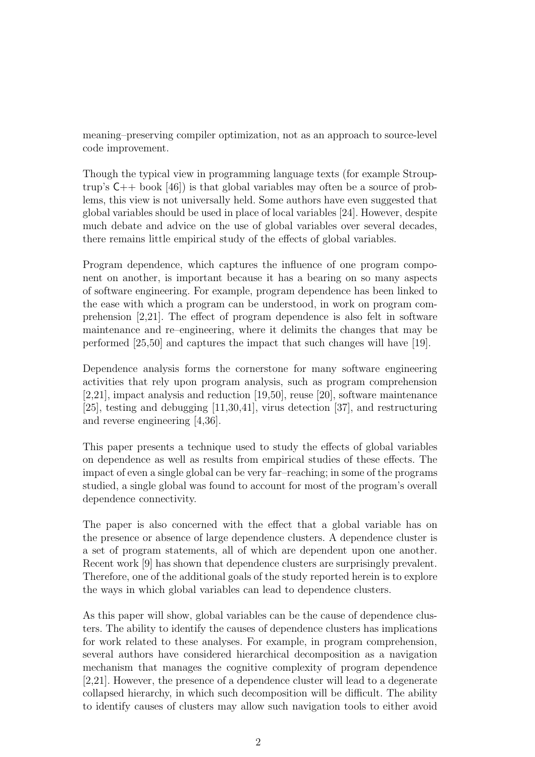meaning–preserving compiler optimization, not as an approach to source-level code improvement.

Though the typical view in programming language texts (for example Strouptrup's C++ book [46]) is that global variables may often be a source of problems, this view is not universally held. Some authors have even suggested that global variables should be used in place of local variables [24]. However, despite much debate and advice on the use of global variables over several decades, there remains little empirical study of the effects of global variables.

Program dependence, which captures the influence of one program component on another, is important because it has a bearing on so many aspects of software engineering. For example, program dependence has been linked to the ease with which a program can be understood, in work on program comprehension [2,21]. The effect of program dependence is also felt in software maintenance and re–engineering, where it delimits the changes that may be performed [25,50] and captures the impact that such changes will have [19].

Dependence analysis forms the cornerstone for many software engineering activities that rely upon program analysis, such as program comprehension [2,21], impact analysis and reduction [19,50], reuse [20], software maintenance [25], testing and debugging [11,30,41], virus detection [37], and restructuring and reverse engineering [4,36].

This paper presents a technique used to study the effects of global variables on dependence as well as results from empirical studies of these effects. The impact of even a single global can be very far–reaching; in some of the programs studied, a single global was found to account for most of the program's overall dependence connectivity.

The paper is also concerned with the effect that a global variable has on the presence or absence of large dependence clusters. A dependence cluster is a set of program statements, all of which are dependent upon one another. Recent work [9] has shown that dependence clusters are surprisingly prevalent. Therefore, one of the additional goals of the study reported herein is to explore the ways in which global variables can lead to dependence clusters.

As this paper will show, global variables can be the cause of dependence clusters. The ability to identify the causes of dependence clusters has implications for work related to these analyses. For example, in program comprehension, several authors have considered hierarchical decomposition as a navigation mechanism that manages the cognitive complexity of program dependence [2,21]. However, the presence of a dependence cluster will lead to a degenerate collapsed hierarchy, in which such decomposition will be difficult. The ability to identify causes of clusters may allow such navigation tools to either avoid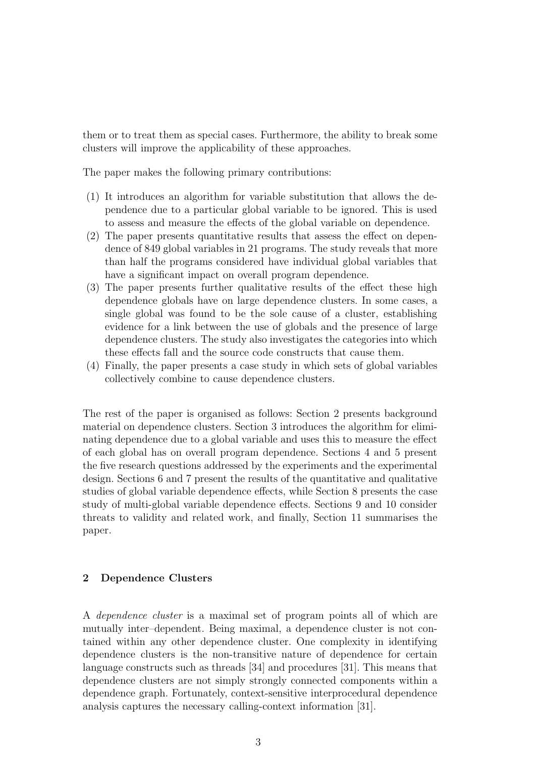them or to treat them as special cases. Furthermore, the ability to break some clusters will improve the applicability of these approaches.

The paper makes the following primary contributions:

- (1) It introduces an algorithm for variable substitution that allows the dependence due to a particular global variable to be ignored. This is used to assess and measure the effects of the global variable on dependence.
- (2) The paper presents quantitative results that assess the effect on dependence of 849 global variables in 21 programs. The study reveals that more than half the programs considered have individual global variables that have a significant impact on overall program dependence.
- (3) The paper presents further qualitative results of the effect these high dependence globals have on large dependence clusters. In some cases, a single global was found to be the sole cause of a cluster, establishing evidence for a link between the use of globals and the presence of large dependence clusters. The study also investigates the categories into which these effects fall and the source code constructs that cause them.
- (4) Finally, the paper presents a case study in which sets of global variables collectively combine to cause dependence clusters.

The rest of the paper is organised as follows: Section 2 presents background material on dependence clusters. Section 3 introduces the algorithm for eliminating dependence due to a global variable and uses this to measure the effect of each global has on overall program dependence. Sections 4 and 5 present the five research questions addressed by the experiments and the experimental design. Sections 6 and 7 present the results of the quantitative and qualitative studies of global variable dependence effects, while Section 8 presents the case study of multi-global variable dependence effects. Sections 9 and 10 consider threats to validity and related work, and finally, Section 11 summarises the paper.

# 2 Dependence Clusters

A dependence cluster is a maximal set of program points all of which are mutually inter–dependent. Being maximal, a dependence cluster is not contained within any other dependence cluster. One complexity in identifying dependence clusters is the non-transitive nature of dependence for certain language constructs such as threads [34] and procedures [31]. This means that dependence clusters are not simply strongly connected components within a dependence graph. Fortunately, context-sensitive interprocedural dependence analysis captures the necessary calling-context information [31].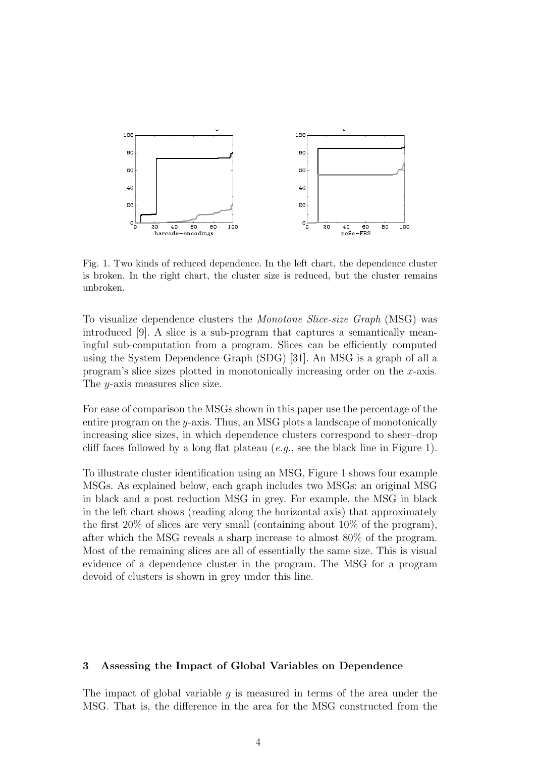

Fig. 1. Two kinds of reduced dependence. In the left chart, the dependence cluster is broken. In the right chart, the cluster size is reduced, but the cluster remains unbroken.

To visualize dependence clusters the Monotone Slice-size Graph (MSG) was introduced [9]. A slice is a sub-program that captures a semantically meaningful sub-computation from a program. Slices can be efficiently computed using the System Dependence Graph (SDG) [31]. An MSG is a graph of all a program's slice sizes plotted in monotonically increasing order on the x-axis. The y-axis measures slice size.

For ease of comparison the MSGs shown in this paper use the percentage of the entire program on the y-axis. Thus, an MSG plots a landscape of monotonically increasing slice sizes, in which dependence clusters correspond to sheer–drop cliff faces followed by a long flat plateau  $(e.g.,\, see\, the\, black\, line\, in\, Figure\,1).$ 

To illustrate cluster identification using an MSG, Figure 1 shows four example MSGs. As explained below, each graph includes two MSGs: an original MSG in black and a post reduction MSG in grey. For example, the MSG in black in the left chart shows (reading along the horizontal axis) that approximately the first 20% of slices are very small (containing about 10% of the program), after which the MSG reveals a sharp increase to almost 80% of the program. Most of the remaining slices are all of essentially the same size. This is visual evidence of a dependence cluster in the program. The MSG for a program devoid of clusters is shown in grey under this line.

#### 3 Assessing the Impact of Global Variables on Dependence

The impact of global variable q is measured in terms of the area under the MSG. That is, the difference in the area for the MSG constructed from the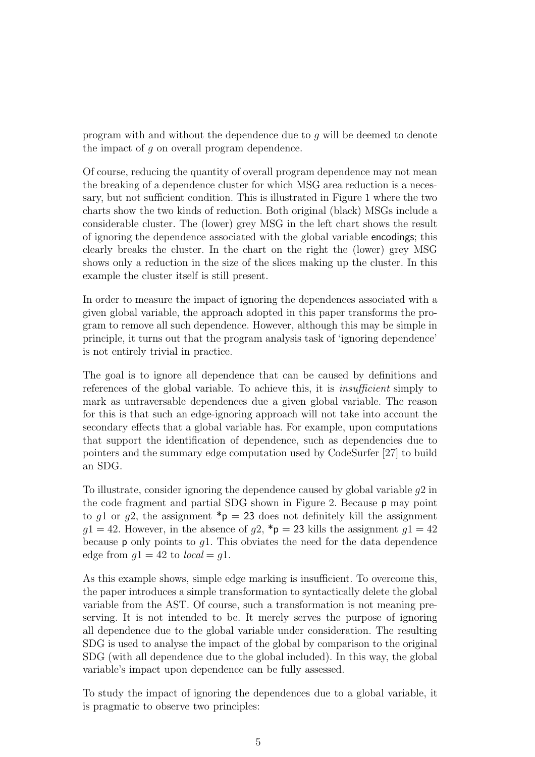program with and without the dependence due to g will be deemed to denote the impact of g on overall program dependence.

Of course, reducing the quantity of overall program dependence may not mean the breaking of a dependence cluster for which MSG area reduction is a necessary, but not sufficient condition. This is illustrated in Figure 1 where the two charts show the two kinds of reduction. Both original (black) MSGs include a considerable cluster. The (lower) grey MSG in the left chart shows the result of ignoring the dependence associated with the global variable encodings; this clearly breaks the cluster. In the chart on the right the (lower) grey MSG shows only a reduction in the size of the slices making up the cluster. In this example the cluster itself is still present.

In order to measure the impact of ignoring the dependences associated with a given global variable, the approach adopted in this paper transforms the program to remove all such dependence. However, although this may be simple in principle, it turns out that the program analysis task of 'ignoring dependence' is not entirely trivial in practice.

The goal is to ignore all dependence that can be caused by definitions and references of the global variable. To achieve this, it is insufficient simply to mark as untraversable dependences due a given global variable. The reason for this is that such an edge-ignoring approach will not take into account the secondary effects that a global variable has. For example, upon computations that support the identification of dependence, such as dependencies due to pointers and the summary edge computation used by CodeSurfer [27] to build an SDG.

To illustrate, consider ignoring the dependence caused by global variable g2 in the code fragment and partial SDG shown in Figure 2. Because p may point to g1 or g2, the assignment  $\mathbf{p} = 23$  does not definitely kill the assignment  $q1 = 42$ . However, in the absence of  $q2$ , \*p = 23 kills the assignment  $q1 = 42$ because **p** only points to  $q_1$ . This obviates the need for the data dependence edge from  $q1 = 42$  to  $local = q1$ .

As this example shows, simple edge marking is insufficient. To overcome this, the paper introduces a simple transformation to syntactically delete the global variable from the AST. Of course, such a transformation is not meaning preserving. It is not intended to be. It merely serves the purpose of ignoring all dependence due to the global variable under consideration. The resulting SDG is used to analyse the impact of the global by comparison to the original SDG (with all dependence due to the global included). In this way, the global variable's impact upon dependence can be fully assessed.

To study the impact of ignoring the dependences due to a global variable, it is pragmatic to observe two principles: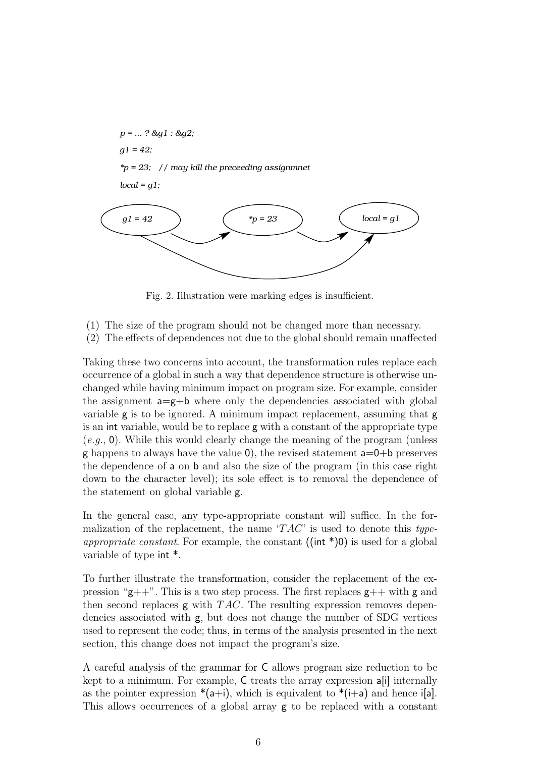

Fig. 2. Illustration were marking edges is insufficient.

- (1) The size of the program should not be changed more than necessary.
- (2) The effects of dependences not due to the global should remain unaffected

Taking these two concerns into account, the transformation rules replace each occurrence of a global in such a way that dependence structure is otherwise unchanged while having minimum impact on program size. For example, consider the assignment  $a=g+b$  where only the dependencies associated with global variable g is to be ignored. A minimum impact replacement, assuming that g is an int variable, would be to replace g with a constant of the appropriate type  $(e, q, 0)$ . While this would clearly change the meaning of the program (unless g happens to always have the value  $\theta$ ), the revised statement  $a=0+b$  preserves the dependence of a on b and also the size of the program (in this case right down to the character level); its sole effect is to removal the dependence of the statement on global variable g.

In the general case, any type-appropriate constant will suffice. In the formalization of the replacement, the name ' $TAC$ ' is used to denote this type*appropriate constant.* For example, the constant  $((int * )0)$  is used for a global variable of type int \*.

To further illustrate the transformation, consider the replacement of the expression " $g$ ++". This is a two step process. The first replaces  $g$ ++ with g and then second replaces  $g$  with  $TAC$ . The resulting expression removes dependencies associated with g, but does not change the number of SDG vertices used to represent the code; thus, in terms of the analysis presented in the next section, this change does not impact the program's size.

A careful analysis of the grammar for C allows program size reduction to be kept to a minimum. For example, C treats the array expression a[i] internally as the pointer expression  $*(a+i)$ , which is equivalent to  $*(i+a)$  and hence i[a]. This allows occurrences of a global array g to be replaced with a constant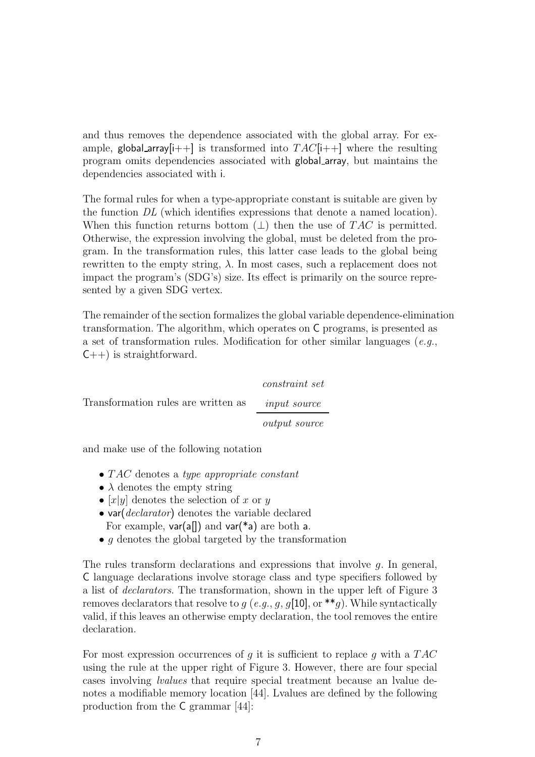and thus removes the dependence associated with the global array. For example, global array  $[i++]$  is transformed into  $TAC[i++]$  where the resulting program omits dependencies associated with global array, but maintains the dependencies associated with i.

The formal rules for when a type-appropriate constant is suitable are given by the function DL (which identifies expressions that denote a named location). When this function returns bottom  $(\perp)$  then the use of TAC is permitted. Otherwise, the expression involving the global, must be deleted from the program. In the transformation rules, this latter case leads to the global being rewritten to the empty string,  $\lambda$ . In most cases, such a replacement does not impact the program's (SDG's) size. Its effect is primarily on the source represented by a given SDG vertex.

The remainder of the section formalizes the global variable dependence-elimination transformation. The algorithm, which operates on C programs, is presented as a set of transformation rules. Modification for other similar languages (e.g.,  $C_{++}$ ) is straightforward.

|                                     | <i>constraint set</i> |
|-------------------------------------|-----------------------|
| Transformation rules are written as | <i>input source</i>   |
|                                     | <i>output source</i>  |

and make use of the following notation

- $TAC$  denotes a type appropriate constant
- $\lambda$  denotes the empty string
- [x|y|] denotes the selection of x or y
- var(*declarator*) denotes the variable declared For example,  $var(a||)$  and  $var(*a)$  are both a.
- $\bullet$  q denotes the global targeted by the transformation

The rules transform declarations and expressions that involve g. In general, C language declarations involve storage class and type specifiers followed by a list of declarators. The transformation, shown in the upper left of Figure 3 removes declarators that resolve to g (e.g., g, g[10], or \*\*g). While syntactically valid, if this leaves an otherwise empty declaration, the tool removes the entire declaration.

For most expression occurrences of q it is sufficient to replace q with a  $TAC$ using the rule at the upper right of Figure 3. However, there are four special cases involving lvalues that require special treatment because an lvalue denotes a modifiable memory location [44]. Lvalues are defined by the following production from the C grammar [44]: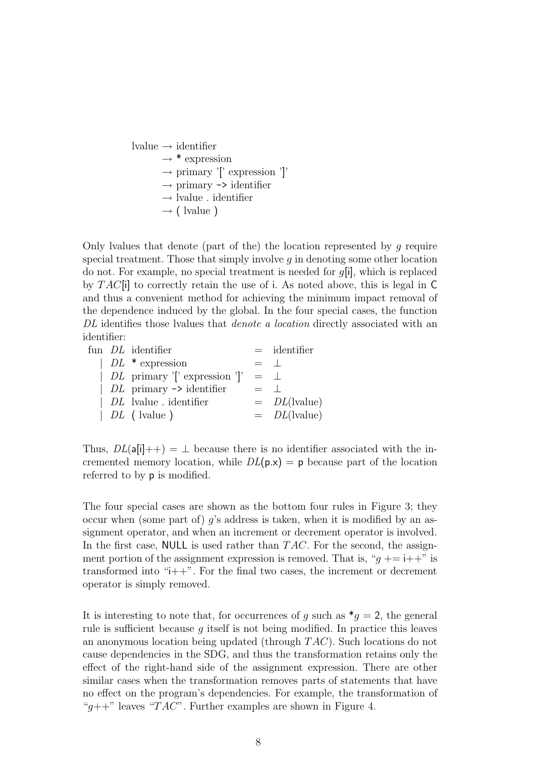lvalue  $\rightarrow$  identifier  $\rightarrow$  \* expression  $\rightarrow$  primary '[' expression ']'  $\rightarrow$  primary  $\rightarrow$  identifier  $\rightarrow$  lvalue . identifier  $\rightarrow$  ( lvalue )

Only lvalues that denote (part of the) the location represented by  $q$  require special treatment. Those that simply involve  $g$  in denoting some other location do not. For example, no special treatment is needed for g[i], which is replaced by  $TAC[i]$  to correctly retain the use of i. As noted above, this is legal in C and thus a convenient method for achieving the minimum impact removal of the dependence induced by the global. In the four special cases, the function DL identifies those lvalues that *denote a location* directly associated with an identifier:

|  | fun <i>DL</i> identifier              |             | $=$ identifier  |
|--|---------------------------------------|-------------|-----------------|
|  | $\mid DL \cdot \text{* expression}$   | $=$ $\pm$   |                 |
|  | $DL$ primary ' ' expression ' '       | $=$ $\perp$ |                 |
|  | $DL$ primary $\rightarrow$ identifier | $=$ $\Box$  |                 |
|  | $  DL$ lyalue identifier              |             | $= DL$ (lvalue) |
|  | $  DL ($ lvalue $)$                   |             | $= DL$ (lvalue) |

Thus,  $DL(a[i]++) = \perp$  because there is no identifier associated with the incremented memory location, while  $DL(p.x) = p$  because part of the location referred to by p is modified.

The four special cases are shown as the bottom four rules in Figure 3; they occur when (some part of) g's address is taken, when it is modified by an assignment operator, and when an increment or decrement operator is involved. In the first case, NULL is used rather than  $TAC$ . For the second, the assignment portion of the assignment expression is removed. That is, " $q$  + = i++" is transformed into "i++". For the final two cases, the increment or decrement operator is simply removed.

It is interesting to note that, for occurrences of g such as  $*_q = 2$ , the general rule is sufficient because g itself is not being modified. In practice this leaves an anonymous location being updated (through T AC). Such locations do not cause dependencies in the SDG, and thus the transformation retains only the effect of the right-hand side of the assignment expression. There are other similar cases when the transformation removes parts of statements that have no effect on the program's dependencies. For example, the transformation of " $g$ ++" leaves "TAC". Further examples are shown in Figure 4.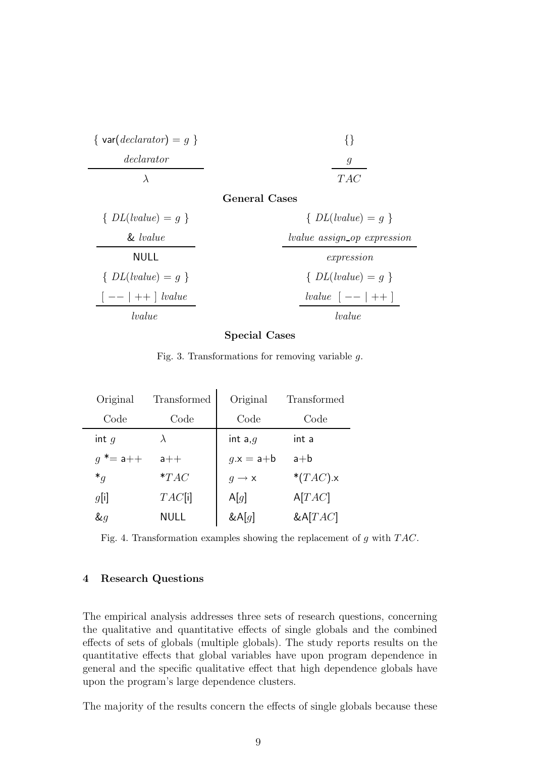| $\{ \text{var}(declarator) = g \}$ |     |
|------------------------------------|-----|
| declarator                         |     |
|                                    | TAC |

#### General Cases

| $\{DL(lvalue)=q\}$               | $\{DL(lvalue)=q\}$                 |
|----------------------------------|------------------------------------|
| $\&\ value$                      | <i>lvalue</i> assign_op expression |
| NULL                             | expression                         |
| $\{DL(lvalue)=q\}$               | $\{DL(lvalue)=q\}$                 |
| $\vert -- \vert ++ \vert$ lvalue | <i>lvalue</i> $[- - + +]$          |
| <i>lvalue</i>                    | lvalue                             |

## Special Cases

Fig. 3. Transformations for removing variable g.

| Original    | Transformed | Original          | Transformed    |
|-------------|-------------|-------------------|----------------|
| Code        | Code        | Code              | Code           |
| int $q$     | $\lambda$   | int a, $g$        | int a          |
| $q^* = a++$ | $a++$       | $g.x = a + b$     | $a+b$          |
| $*_q$       | $*TAC$      | $g \rightarrow x$ | * $(TAC)$ .x   |
| g[i]        | TAC[i]      | A[q]              | A[TAC]         |
| $\&q$       | NULL        | $&$ A $[g]$       | $\&$ A $[TAC]$ |

Fig. 4. Transformation examples showing the replacement of g with TAC.

# 4 Research Questions

The empirical analysis addresses three sets of research questions, concerning the qualitative and quantitative effects of single globals and the combined effects of sets of globals (multiple globals). The study reports results on the quantitative effects that global variables have upon program dependence in general and the specific qualitative effect that high dependence globals have upon the program's large dependence clusters.

The majority of the results concern the effects of single globals because these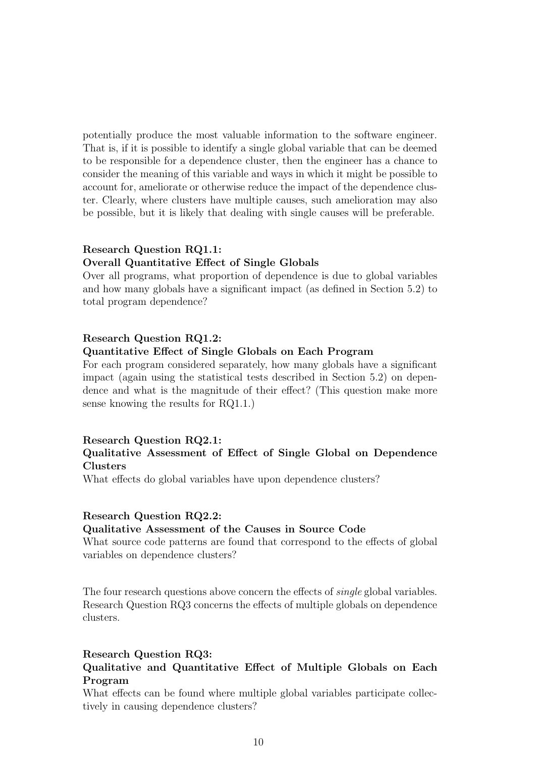potentially produce the most valuable information to the software engineer. That is, if it is possible to identify a single global variable that can be deemed to be responsible for a dependence cluster, then the engineer has a chance to consider the meaning of this variable and ways in which it might be possible to account for, ameliorate or otherwise reduce the impact of the dependence cluster. Clearly, where clusters have multiple causes, such amelioration may also be possible, but it is likely that dealing with single causes will be preferable.

#### Research Question RQ1.1:

# Overall Quantitative Effect of Single Globals

Over all programs, what proportion of dependence is due to global variables and how many globals have a significant impact (as defined in Section 5.2) to total program dependence?

# Research Question RQ1.2:

## Quantitative Effect of Single Globals on Each Program

For each program considered separately, how many globals have a significant impact (again using the statistical tests described in Section 5.2) on dependence and what is the magnitude of their effect? (This question make more sense knowing the results for RQ1.1.)

## Research Question RQ2.1:

# Qualitative Assessment of Effect of Single Global on Dependence Clusters

What effects do global variables have upon dependence clusters?

#### Research Question RQ2.2:

#### Qualitative Assessment of the Causes in Source Code

What source code patterns are found that correspond to the effects of global variables on dependence clusters?

The four research questions above concern the effects of *single* global variables. Research Question RQ3 concerns the effects of multiple globals on dependence clusters.

#### Research Question RQ3:

# Qualitative and Quantitative Effect of Multiple Globals on Each Program

What effects can be found where multiple global variables participate collectively in causing dependence clusters?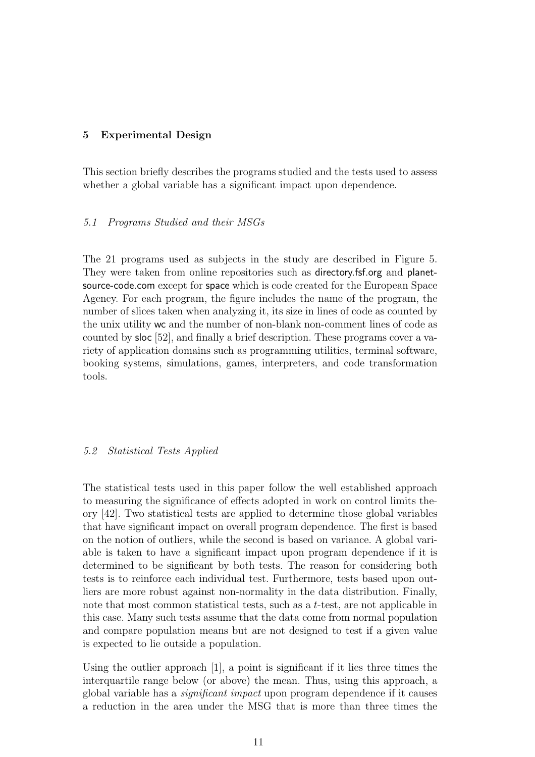## 5 Experimental Design

This section briefly describes the programs studied and the tests used to assess whether a global variable has a significant impact upon dependence.

#### 5.1 Programs Studied and their MSGs

The 21 programs used as subjects in the study are described in Figure 5. They were taken from online repositories such as directory.fsf.org and planetsource-code.com except for space which is code created for the European Space Agency. For each program, the figure includes the name of the program, the number of slices taken when analyzing it, its size in lines of code as counted by the unix utility wc and the number of non-blank non-comment lines of code as counted by sloc [52], and finally a brief description. These programs cover a variety of application domains such as programming utilities, terminal software, booking systems, simulations, games, interpreters, and code transformation tools.

#### 5.2 Statistical Tests Applied

The statistical tests used in this paper follow the well established approach to measuring the significance of effects adopted in work on control limits theory [42]. Two statistical tests are applied to determine those global variables that have significant impact on overall program dependence. The first is based on the notion of outliers, while the second is based on variance. A global variable is taken to have a significant impact upon program dependence if it is determined to be significant by both tests. The reason for considering both tests is to reinforce each individual test. Furthermore, tests based upon outliers are more robust against non-normality in the data distribution. Finally, note that most common statistical tests, such as a t-test, are not applicable in this case. Many such tests assume that the data come from normal population and compare population means but are not designed to test if a given value is expected to lie outside a population.

Using the outlier approach [1], a point is significant if it lies three times the interquartile range below (or above) the mean. Thus, using this approach, a global variable has a significant impact upon program dependence if it causes a reduction in the area under the MSG that is more than three times the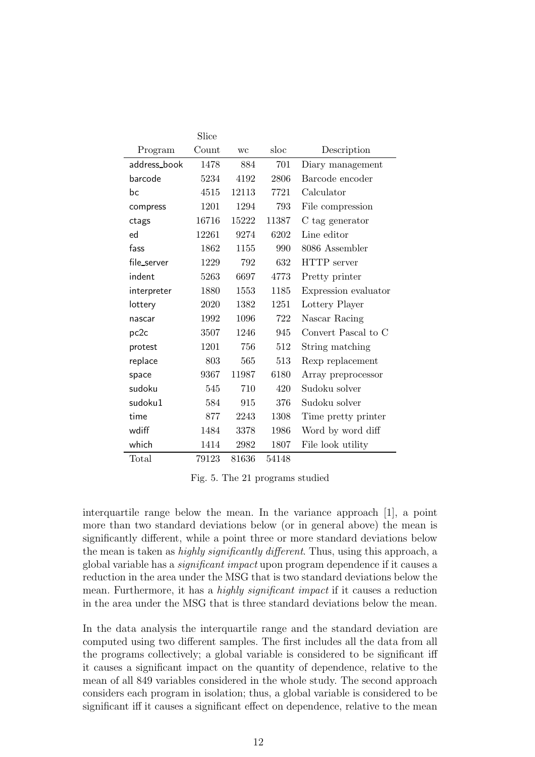|              | Slice |       |       |                      |
|--------------|-------|-------|-------|----------------------|
| Program      | Count | WC    | sloc  | Description          |
| address_book | 1478  | 884   | 701   | Diary management     |
| barcode      | 5234  | 4192  | 2806  | Barcode encoder      |
| bc           | 4515  | 12113 | 7721  | Calculator           |
| compress     | 1201  | 1294  | 793   | File compression     |
| ctags        | 16716 | 15222 | 11387 | C tag generator      |
| ed           | 12261 | 9274  | 6202  | Line editor          |
| fass         | 1862  | 1155  | 990   | 8086 Assembler       |
| file_server  | 1229  | 792   | 632   | HTTP server          |
| indent       | 5263  | 6697  | 4773  | Pretty printer       |
| interpreter  | 1880  | 1553  | 1185  | Expression evaluator |
| lottery      | 2020  | 1382  | 1251  | Lottery Player       |
| nascar       | 1992  | 1096  | 722   | Nascar Racing        |
| pc2c         | 3507  | 1246  | 945   | Convert Pascal to C  |
| protest      | 1201  | 756   | 512   | String matching      |
| replace      | 803   | 565   | 513   | Rexp replacement     |
| space        | 9367  | 11987 | 6180  | Array preprocessor   |
| sudoku       | 545   | 710   | 420   | Sudoku solver        |
| sudoku1      | 584   | 915   | 376   | Sudoku solver        |
| time         | 877   | 2243  | 1308  | Time pretty printer  |
| wdiff        | 1484  | 3378  | 1986  | Word by word diff    |
| which        | 1414  | 2982  | 1807  | File look utility    |
| Total        | 79123 | 81636 | 54148 |                      |

Fig. 5. The 21 programs studied

interquartile range below the mean. In the variance approach [1], a point more than two standard deviations below (or in general above) the mean is significantly different, while a point three or more standard deviations below the mean is taken as *highly significantly different*. Thus, using this approach, a global variable has a significant impact upon program dependence if it causes a reduction in the area under the MSG that is two standard deviations below the mean. Furthermore, it has a highly significant impact if it causes a reduction in the area under the MSG that is three standard deviations below the mean.

In the data analysis the interquartile range and the standard deviation are computed using two different samples. The first includes all the data from all the programs collectively; a global variable is considered to be significant iff it causes a significant impact on the quantity of dependence, relative to the mean of all 849 variables considered in the whole study. The second approach considers each program in isolation; thus, a global variable is considered to be significant iff it causes a significant effect on dependence, relative to the mean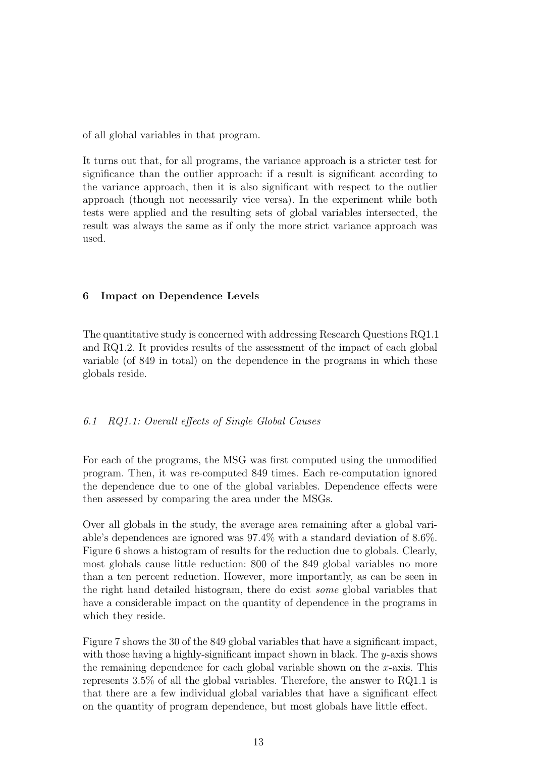of all global variables in that program.

It turns out that, for all programs, the variance approach is a stricter test for significance than the outlier approach: if a result is significant according to the variance approach, then it is also significant with respect to the outlier approach (though not necessarily vice versa). In the experiment while both tests were applied and the resulting sets of global variables intersected, the result was always the same as if only the more strict variance approach was used.

# 6 Impact on Dependence Levels

The quantitative study is concerned with addressing Research Questions RQ1.1 and RQ1.2. It provides results of the assessment of the impact of each global variable (of 849 in total) on the dependence in the programs in which these globals reside.

# 6.1 RQ1.1: Overall effects of Single Global Causes

For each of the programs, the MSG was first computed using the unmodified program. Then, it was re-computed 849 times. Each re-computation ignored the dependence due to one of the global variables. Dependence effects were then assessed by comparing the area under the MSGs.

Over all globals in the study, the average area remaining after a global variable's dependences are ignored was 97.4% with a standard deviation of 8.6%. Figure 6 shows a histogram of results for the reduction due to globals. Clearly, most globals cause little reduction: 800 of the 849 global variables no more than a ten percent reduction. However, more importantly, as can be seen in the right hand detailed histogram, there do exist some global variables that have a considerable impact on the quantity of dependence in the programs in which they reside.

Figure 7 shows the 30 of the 849 global variables that have a significant impact, with those having a highly-significant impact shown in black. The  $y$ -axis shows the remaining dependence for each global variable shown on the  $x$ -axis. This represents 3.5% of all the global variables. Therefore, the answer to RQ1.1 is that there are a few individual global variables that have a significant effect on the quantity of program dependence, but most globals have little effect.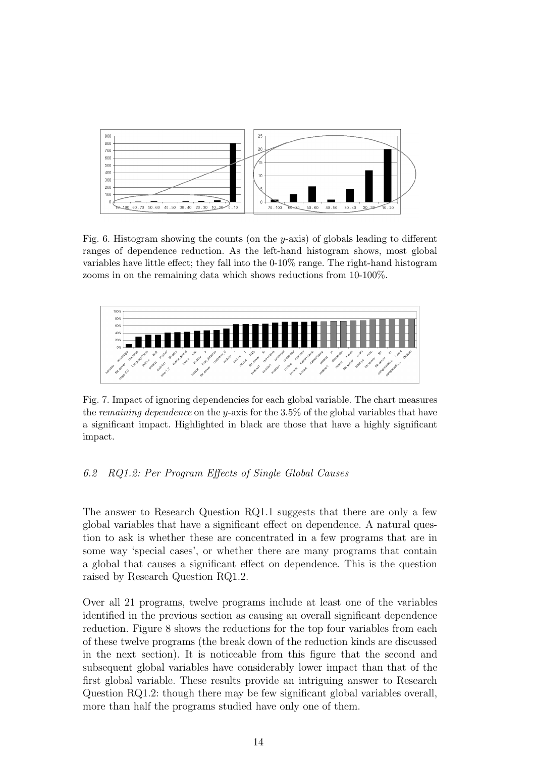

Fig. 6. Histogram showing the counts (on the y-axis) of globals leading to different ranges of dependence reduction. As the left-hand histogram shows, most global variables have little effect; they fall into the 0-10% range. The right-hand histogram zooms in on the remaining data which shows reductions from 10-100%.



Fig. 7. Impact of ignoring dependencies for each global variable. The chart measures the remaining dependence on the y-axis for the  $3.5\%$  of the global variables that have a significant impact. Highlighted in black are those that have a highly significant impact.

# 6.2 RQ1.2: Per Program Effects of Single Global Causes

The answer to Research Question RQ1.1 suggests that there are only a few global variables that have a significant effect on dependence. A natural question to ask is whether these are concentrated in a few programs that are in some way 'special cases', or whether there are many programs that contain a global that causes a significant effect on dependence. This is the question raised by Research Question RQ1.2.

Over all 21 programs, twelve programs include at least one of the variables identified in the previous section as causing an overall significant dependence reduction. Figure 8 shows the reductions for the top four variables from each of these twelve programs (the break down of the reduction kinds are discussed in the next section). It is noticeable from this figure that the second and subsequent global variables have considerably lower impact than that of the first global variable. These results provide an intriguing answer to Research Question RQ1.2: though there may be few significant global variables overall, more than half the programs studied have only one of them.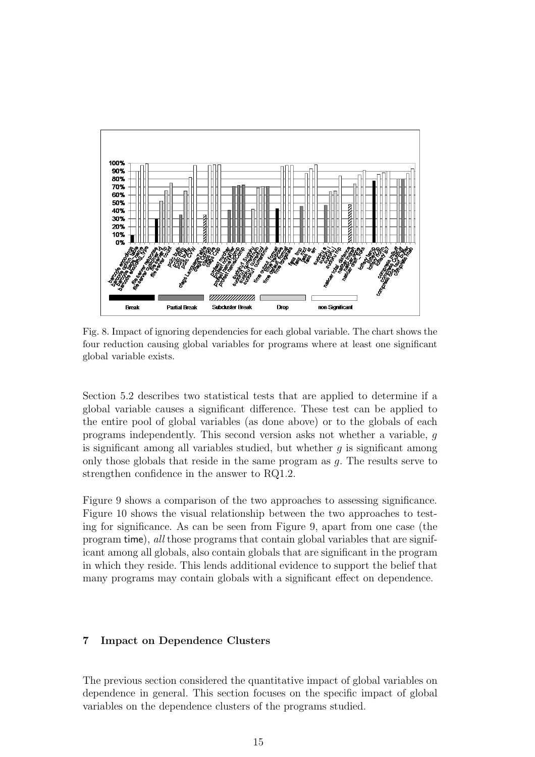

Fig. 8. Impact of ignoring dependencies for each global variable. The chart shows the four reduction causing global variables for programs where at least one significant global variable exists.

Section 5.2 describes two statistical tests that are applied to determine if a global variable causes a significant difference. These test can be applied to the entire pool of global variables (as done above) or to the globals of each programs independently. This second version asks not whether a variable, g is significant among all variables studied, but whether  $q$  is significant among only those globals that reside in the same program as g. The results serve to strengthen confidence in the answer to RQ1.2.

Figure 9 shows a comparison of the two approaches to assessing significance. Figure 10 shows the visual relationship between the two approaches to testing for significance. As can be seen from Figure 9, apart from one case (the program time), all those programs that contain global variables that are significant among all globals, also contain globals that are significant in the program in which they reside. This lends additional evidence to support the belief that many programs may contain globals with a significant effect on dependence.

## 7 Impact on Dependence Clusters

The previous section considered the quantitative impact of global variables on dependence in general. This section focuses on the specific impact of global variables on the dependence clusters of the programs studied.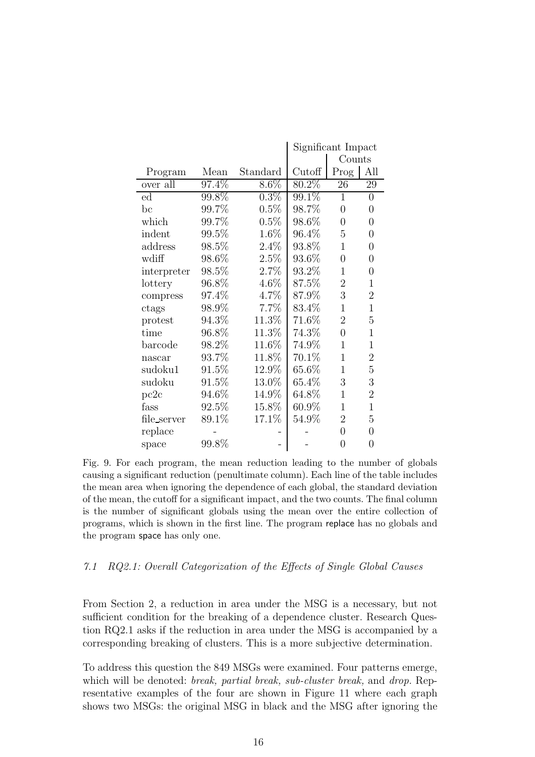|             |          |          | Significant Impact |                |                  |
|-------------|----------|----------|--------------------|----------------|------------------|
|             |          |          |                    | Counts         |                  |
| Program     | Mean     | Standard | Cutoff             | Prog           | All              |
| over all    | 97.4%    | $8.6\%$  | 80.2%              | 26             | 29               |
| $_{\rm ed}$ | 99.8%    | $0.3\%$  | 99.1%              | $\mathbf{1}$   | $\boldsymbol{0}$ |
| bc          | 99.7%    | 0.5%     | 98.7%              | $\overline{0}$ | $\overline{0}$   |
| which       | 99.7%    | 0.5%     | $98.6\%$           | $\overline{0}$ | $\overline{0}$   |
| indent      | 99.5%    | 1.6%     | 96.4%              | $\overline{5}$ | $\overline{0}$   |
| address     | 98.5%    | 2.4%     | 93.8%              | $\mathbf{1}$   | $\overline{0}$   |
| wdiff       | 98.6%    | 2.5%     | 93.6%              | $\overline{0}$ | $\overline{0}$   |
| interpreter | 98.5%    | 2.7%     | 93.2%              | $\mathbf{1}$   | $\overline{0}$   |
| lottery     | 96.8%    | 4.6%     | 87.5%              | $\overline{2}$ | $\mathbf{1}$     |
| compress    | 97.4%    | 4.7%     | 87.9%              | 3              | $\overline{2}$   |
| ctags       | 98.9%    | 7.7%     | 83.4%              | $\mathbf{1}$   | $\mathbf{1}$     |
| protest     | 94.3%    | 11.3%    | 71.6%              | $\overline{2}$ | $\overline{5}$   |
| time        | 96.8%    | 11.3%    | 74.3%              | $\overline{0}$ | $\overline{1}$   |
| barcode     | 98.2%    | 11.6%    | 74.9%              | $\mathbf{1}$   | $\mathbf 1$      |
| nascar      | 93.7%    | 11.8%    | 70.1%              | $\overline{1}$ | $\overline{2}$   |
| sudoku1     | $91.5\%$ | 12.9%    | 65.6%              | $\mathbf{1}$   | $\overline{5}$   |
| sudoku      | $91.5\%$ | 13.0%    | 65.4%              | 3              | 3                |
| pc2c        | 94.6%    | 14.9%    | 64.8%              | $\overline{1}$ | $\overline{2}$   |
| fass        | 92.5%    | 15.8%    | 60.9%              | $\mathbf{1}$   | $\mathbf{1}$     |
| file_server | 89.1%    | 17.1%    | 54.9%              | $\overline{2}$ | 5                |
| replace     |          |          |                    | 0              | $\boldsymbol{0}$ |
| space       | 99.8%    |          |                    | $\overline{0}$ | $\boldsymbol{0}$ |

Fig. 9. For each program, the mean reduction leading to the number of globals causing a significant reduction (penultimate column). Each line of the table includes the mean area when ignoring the dependence of each global, the standard deviation of the mean, the cutoff for a significant impact, and the two counts. The final column is the number of significant globals using the mean over the entire collection of programs, which is shown in the first line. The program replace has no globals and the program space has only one.

## 7.1 RQ2.1: Overall Categorization of the Effects of Single Global Causes

From Section 2, a reduction in area under the MSG is a necessary, but not sufficient condition for the breaking of a dependence cluster. Research Question RQ2.1 asks if the reduction in area under the MSG is accompanied by a corresponding breaking of clusters. This is a more subjective determination.

To address this question the 849 MSGs were examined. Four patterns emerge, which will be denoted: *break, partial break, sub-cluster break*, and *drop*. Representative examples of the four are shown in Figure 11 where each graph shows two MSGs: the original MSG in black and the MSG after ignoring the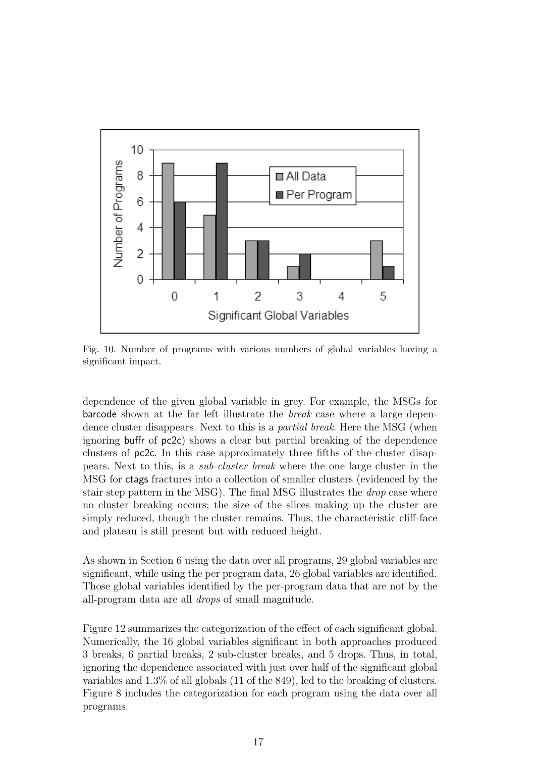

Fig. 10. Number of programs with various numbers of global variables having a significant impact.

dependence of the given global variable in grey. For example, the MSGs for barcode shown at the far left illustrate the break case where a large dependence cluster disappears. Next to this is a partial break. Here the MSG (when ignoring buffr of pc2c) shows a clear but partial breaking of the dependence clusters of pc2c. In this case approximately three fifths of the cluster disappears. Next to this, is a sub-cluster break where the one large cluster in the MSG for ctags fractures into a collection of smaller clusters (evidenced by the stair step pattern in the MSG). The final MSG illustrates the drop case where no cluster breaking occurs; the size of the slices making up the cluster are simply reduced, though the cluster remains. Thus, the characteristic cliff-face and plateau is still present but with reduced height.

As shown in Section 6 using the data over all programs, 29 global variables are significant, while using the per program data, 26 global variables are identified. Those global variables identified by the per-program data that are not by the all-program data are all drops of small magnitude.

Figure 12 summarizes the categorization of the effect of each significant global. Numerically, the 16 global variables significant in both approaches produced 3 breaks, 6 partial breaks, 2 sub-cluster breaks, and 5 drops. Thus, in total, ignoring the dependence associated with just over half of the significant global variables and 1.3% of all globals (11 of the 849), led to the breaking of clusters. Figure 8 includes the categorization for each program using the data over all programs.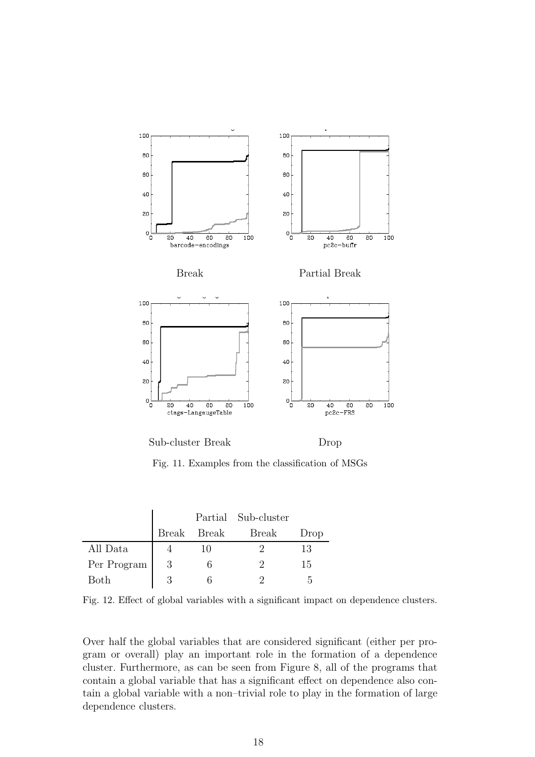

Fig. 11. Examples from the classification of MSGs

|             |   |             | Partial Sub-cluster |      |
|-------------|---|-------------|---------------------|------|
|             |   | Break Break | Break               | Drop |
| All Data    |   | 10          |                     | 13   |
| Per Program | 3 | 6           | '2                  | 15   |
| Both        | 3 |             |                     | h.   |

Fig. 12. Effect of global variables with a significant impact on dependence clusters.

Over half the global variables that are considered significant (either per program or overall) play an important role in the formation of a dependence cluster. Furthermore, as can be seen from Figure 8, all of the programs that contain a global variable that has a significant effect on dependence also contain a global variable with a non–trivial role to play in the formation of large dependence clusters.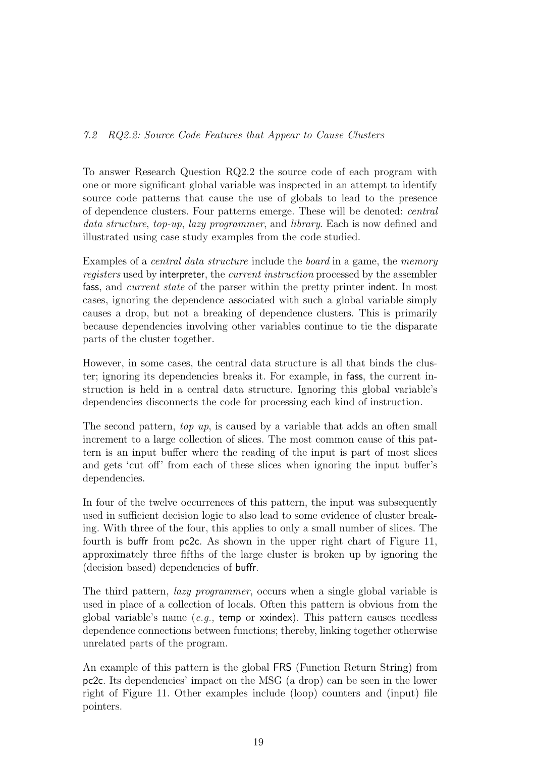# 7.2 RQ2.2: Source Code Features that Appear to Cause Clusters

To answer Research Question RQ2.2 the source code of each program with one or more significant global variable was inspected in an attempt to identify source code patterns that cause the use of globals to lead to the presence of dependence clusters. Four patterns emerge. These will be denoted: central data structure, top-up, lazy programmer, and library. Each is now defined and illustrated using case study examples from the code studied.

Examples of a *central data structure* include the *board* in a game, the *memory* registers used by interpreter, the current instruction processed by the assembler fass, and current state of the parser within the pretty printer indent. In most cases, ignoring the dependence associated with such a global variable simply causes a drop, but not a breaking of dependence clusters. This is primarily because dependencies involving other variables continue to tie the disparate parts of the cluster together.

However, in some cases, the central data structure is all that binds the cluster; ignoring its dependencies breaks it. For example, in fass, the current instruction is held in a central data structure. Ignoring this global variable's dependencies disconnects the code for processing each kind of instruction.

The second pattern, top up, is caused by a variable that adds an often small increment to a large collection of slices. The most common cause of this pattern is an input buffer where the reading of the input is part of most slices and gets 'cut off' from each of these slices when ignoring the input buffer's dependencies.

In four of the twelve occurrences of this pattern, the input was subsequently used in sufficient decision logic to also lead to some evidence of cluster breaking. With three of the four, this applies to only a small number of slices. The fourth is buffr from pc2c. As shown in the upper right chart of Figure 11, approximately three fifths of the large cluster is broken up by ignoring the (decision based) dependencies of buffr.

The third pattern, *lazy programmer*, occurs when a single global variable is used in place of a collection of locals. Often this pattern is obvious from the global variable's name (e.g., temp or xxindex). This pattern causes needless dependence connections between functions; thereby, linking together otherwise unrelated parts of the program.

An example of this pattern is the global FRS (Function Return String) from pc2c. Its dependencies' impact on the MSG (a drop) can be seen in the lower right of Figure 11. Other examples include (loop) counters and (input) file pointers.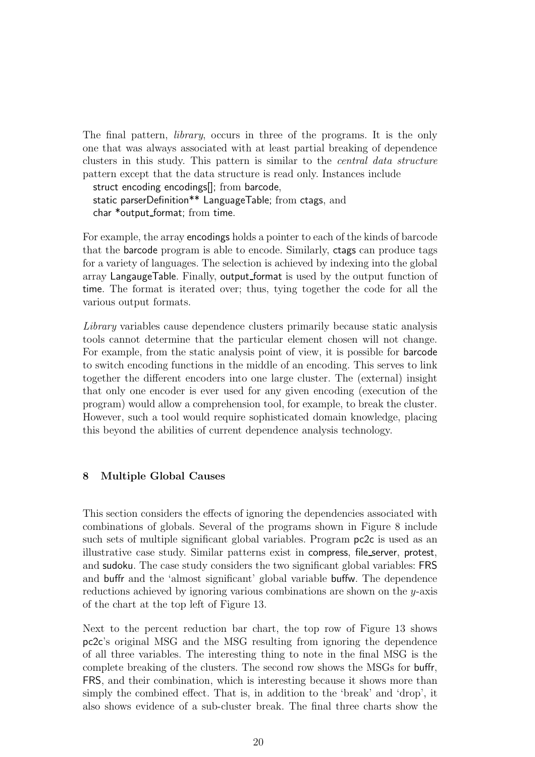The final pattern, *library*, occurs in three of the programs. It is the only one that was always associated with at least partial breaking of dependence clusters in this study. This pattern is similar to the central data structure pattern except that the data structure is read only. Instances include

struct encoding encodings[]; from barcode, static parserDefinition\*\* LanguageTable; from ctags, and char \*output format; from time.

For example, the array encodings holds a pointer to each of the kinds of barcode that the barcode program is able to encode. Similarly, ctags can produce tags for a variety of languages. The selection is achieved by indexing into the global array LangaugeTable. Finally, output format is used by the output function of time. The format is iterated over; thus, tying together the code for all the various output formats.

Library variables cause dependence clusters primarily because static analysis tools cannot determine that the particular element chosen will not change. For example, from the static analysis point of view, it is possible for barcode to switch encoding functions in the middle of an encoding. This serves to link together the different encoders into one large cluster. The (external) insight that only one encoder is ever used for any given encoding (execution of the program) would allow a comprehension tool, for example, to break the cluster. However, such a tool would require sophisticated domain knowledge, placing this beyond the abilities of current dependence analysis technology.

# 8 Multiple Global Causes

This section considers the effects of ignoring the dependencies associated with combinations of globals. Several of the programs shown in Figure 8 include such sets of multiple significant global variables. Program pc2c is used as an illustrative case study. Similar patterns exist in compress, file\_server, protest, and sudoku. The case study considers the two significant global variables: FRS and buffr and the 'almost significant' global variable buffw. The dependence reductions achieved by ignoring various combinations are shown on the y-axis of the chart at the top left of Figure 13.

Next to the percent reduction bar chart, the top row of Figure 13 shows pc2c's original MSG and the MSG resulting from ignoring the dependence of all three variables. The interesting thing to note in the final MSG is the complete breaking of the clusters. The second row shows the MSGs for buffr, FRS, and their combination, which is interesting because it shows more than simply the combined effect. That is, in addition to the 'break' and 'drop', it also shows evidence of a sub-cluster break. The final three charts show the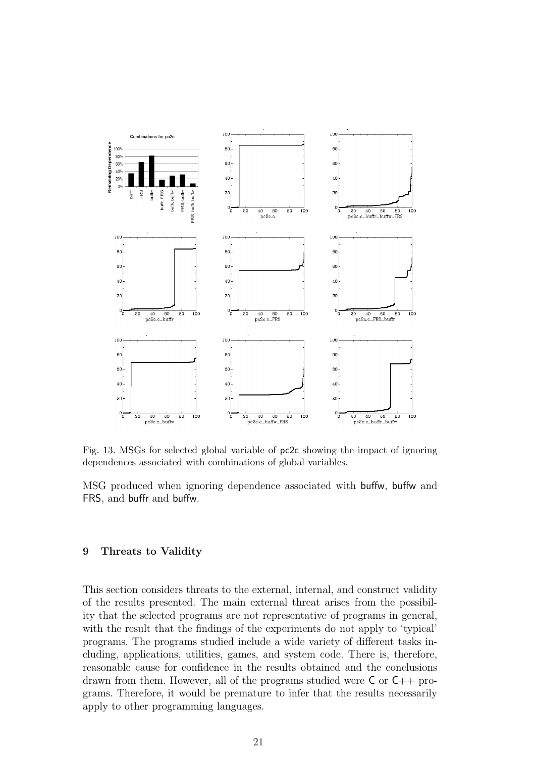

Fig. 13. MSGs for selected global variable of pc2c showing the impact of ignoring dependences associated with combinations of global variables.

MSG produced when ignoring dependence associated with buffw, buffw and FRS, and buffr and buffw.

# 9 Threats to Validity

This section considers threats to the external, internal, and construct validity of the results presented. The main external threat arises from the possibility that the selected programs are not representative of programs in general, with the result that the findings of the experiments do not apply to 'typical' programs. The programs studied include a wide variety of different tasks including, applications, utilities, games, and system code. There is, therefore, reasonable cause for confidence in the results obtained and the conclusions drawn from them. However, all of the programs studied were C or C++ programs. Therefore, it would be premature to infer that the results necessarily apply to other programming languages.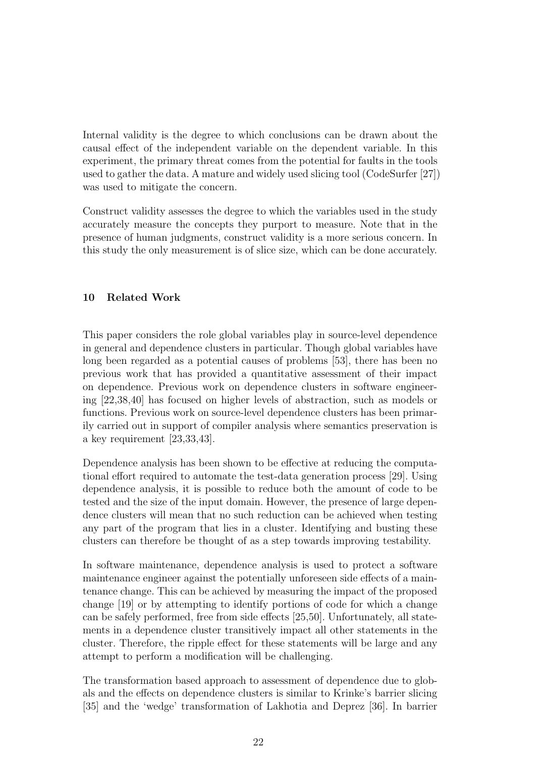Internal validity is the degree to which conclusions can be drawn about the causal effect of the independent variable on the dependent variable. In this experiment, the primary threat comes from the potential for faults in the tools used to gather the data. A mature and widely used slicing tool (CodeSurfer [27]) was used to mitigate the concern.

Construct validity assesses the degree to which the variables used in the study accurately measure the concepts they purport to measure. Note that in the presence of human judgments, construct validity is a more serious concern. In this study the only measurement is of slice size, which can be done accurately.

# 10 Related Work

This paper considers the role global variables play in source-level dependence in general and dependence clusters in particular. Though global variables have long been regarded as a potential causes of problems [53], there has been no previous work that has provided a quantitative assessment of their impact on dependence. Previous work on dependence clusters in software engineering [22,38,40] has focused on higher levels of abstraction, such as models or functions. Previous work on source-level dependence clusters has been primarily carried out in support of compiler analysis where semantics preservation is a key requirement [23,33,43].

Dependence analysis has been shown to be effective at reducing the computational effort required to automate the test-data generation process [29]. Using dependence analysis, it is possible to reduce both the amount of code to be tested and the size of the input domain. However, the presence of large dependence clusters will mean that no such reduction can be achieved when testing any part of the program that lies in a cluster. Identifying and busting these clusters can therefore be thought of as a step towards improving testability.

In software maintenance, dependence analysis is used to protect a software maintenance engineer against the potentially unforeseen side effects of a maintenance change. This can be achieved by measuring the impact of the proposed change [19] or by attempting to identify portions of code for which a change can be safely performed, free from side effects [25,50]. Unfortunately, all statements in a dependence cluster transitively impact all other statements in the cluster. Therefore, the ripple effect for these statements will be large and any attempt to perform a modification will be challenging.

The transformation based approach to assessment of dependence due to globals and the effects on dependence clusters is similar to Krinke's barrier slicing [35] and the 'wedge' transformation of Lakhotia and Deprez [36]. In barrier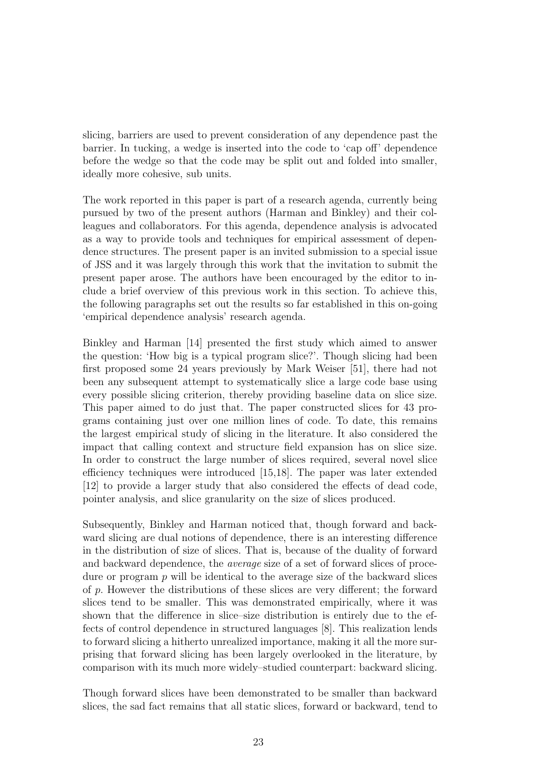slicing, barriers are used to prevent consideration of any dependence past the barrier. In tucking, a wedge is inserted into the code to 'cap off' dependence before the wedge so that the code may be split out and folded into smaller, ideally more cohesive, sub units.

The work reported in this paper is part of a research agenda, currently being pursued by two of the present authors (Harman and Binkley) and their colleagues and collaborators. For this agenda, dependence analysis is advocated as a way to provide tools and techniques for empirical assessment of dependence structures. The present paper is an invited submission to a special issue of JSS and it was largely through this work that the invitation to submit the present paper arose. The authors have been encouraged by the editor to include a brief overview of this previous work in this section. To achieve this, the following paragraphs set out the results so far established in this on-going 'empirical dependence analysis' research agenda.

Binkley and Harman [14] presented the first study which aimed to answer the question: 'How big is a typical program slice?'. Though slicing had been first proposed some 24 years previously by Mark Weiser [51], there had not been any subsequent attempt to systematically slice a large code base using every possible slicing criterion, thereby providing baseline data on slice size. This paper aimed to do just that. The paper constructed slices for 43 programs containing just over one million lines of code. To date, this remains the largest empirical study of slicing in the literature. It also considered the impact that calling context and structure field expansion has on slice size. In order to construct the large number of slices required, several novel slice efficiency techniques were introduced [15,18]. The paper was later extended [12] to provide a larger study that also considered the effects of dead code, pointer analysis, and slice granularity on the size of slices produced.

Subsequently, Binkley and Harman noticed that, though forward and backward slicing are dual notions of dependence, there is an interesting difference in the distribution of size of slices. That is, because of the duality of forward and backward dependence, the average size of a set of forward slices of procedure or program  $p$  will be identical to the average size of the backward slices of p. However the distributions of these slices are very different; the forward slices tend to be smaller. This was demonstrated empirically, where it was shown that the difference in slice–size distribution is entirely due to the effects of control dependence in structured languages [8]. This realization lends to forward slicing a hitherto unrealized importance, making it all the more surprising that forward slicing has been largely overlooked in the literature, by comparison with its much more widely–studied counterpart: backward slicing.

Though forward slices have been demonstrated to be smaller than backward slices, the sad fact remains that all static slices, forward or backward, tend to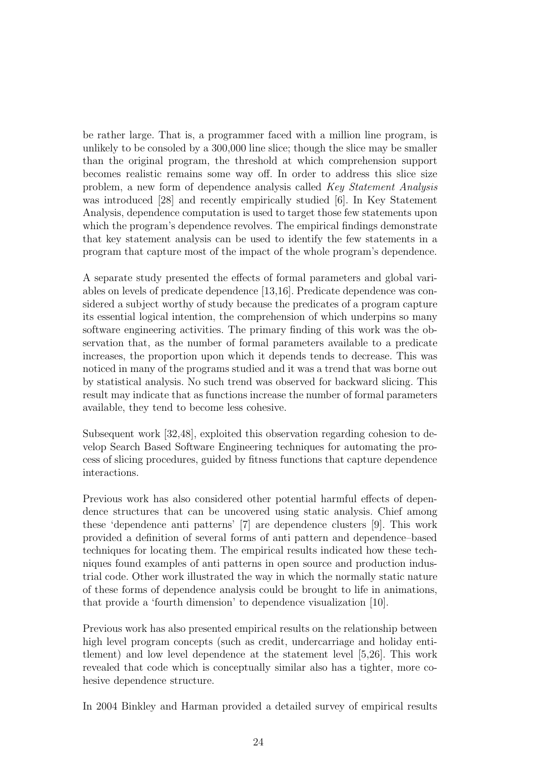be rather large. That is, a programmer faced with a million line program, is unlikely to be consoled by a 300,000 line slice; though the slice may be smaller than the original program, the threshold at which comprehension support becomes realistic remains some way off. In order to address this slice size problem, a new form of dependence analysis called Key Statement Analysis was introduced [28] and recently empirically studied [6]. In Key Statement Analysis, dependence computation is used to target those few statements upon which the program's dependence revolves. The empirical findings demonstrate that key statement analysis can be used to identify the few statements in a program that capture most of the impact of the whole program's dependence.

A separate study presented the effects of formal parameters and global variables on levels of predicate dependence [13,16]. Predicate dependence was considered a subject worthy of study because the predicates of a program capture its essential logical intention, the comprehension of which underpins so many software engineering activities. The primary finding of this work was the observation that, as the number of formal parameters available to a predicate increases, the proportion upon which it depends tends to decrease. This was noticed in many of the programs studied and it was a trend that was borne out by statistical analysis. No such trend was observed for backward slicing. This result may indicate that as functions increase the number of formal parameters available, they tend to become less cohesive.

Subsequent work [32,48], exploited this observation regarding cohesion to develop Search Based Software Engineering techniques for automating the process of slicing procedures, guided by fitness functions that capture dependence interactions.

Previous work has also considered other potential harmful effects of dependence structures that can be uncovered using static analysis. Chief among these 'dependence anti patterns' [7] are dependence clusters [9]. This work provided a definition of several forms of anti pattern and dependence–based techniques for locating them. The empirical results indicated how these techniques found examples of anti patterns in open source and production industrial code. Other work illustrated the way in which the normally static nature of these forms of dependence analysis could be brought to life in animations, that provide a 'fourth dimension' to dependence visualization [10].

Previous work has also presented empirical results on the relationship between high level program concepts (such as credit, undercarriage and holiday entitlement) and low level dependence at the statement level [5,26]. This work revealed that code which is conceptually similar also has a tighter, more cohesive dependence structure.

In 2004 Binkley and Harman provided a detailed survey of empirical results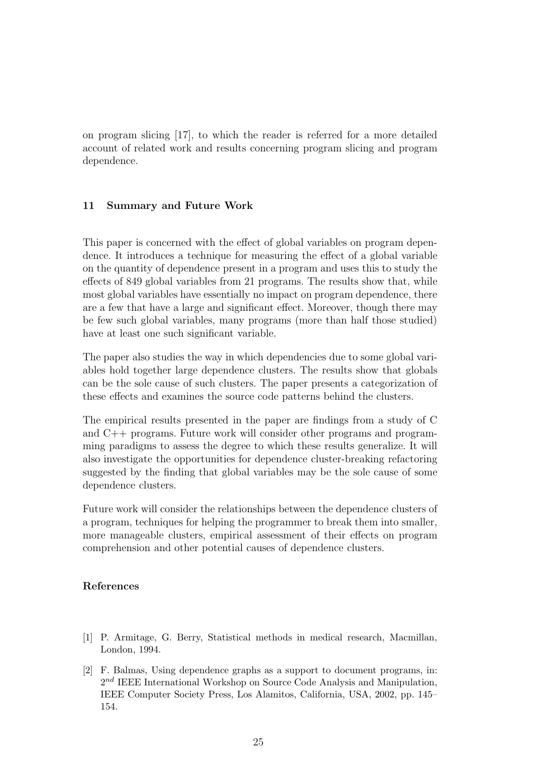on program slicing [17], to which the reader is referred for a more detailed account of related work and results concerning program slicing and program dependence.

#### 11 Summary and Future Work

This paper is concerned with the effect of global variables on program dependence. It introduces a technique for measuring the effect of a global variable on the quantity of dependence present in a program and uses this to study the effects of 849 global variables from 21 programs. The results show that, while most global variables have essentially no impact on program dependence, there are a few that have a large and significant effect. Moreover, though there may be few such global variables, many programs (more than half those studied) have at least one such significant variable.

The paper also studies the way in which dependencies due to some global variables hold together large dependence clusters. The results show that globals can be the sole cause of such clusters. The paper presents a categorization of these effects and examines the source code patterns behind the clusters.

The empirical results presented in the paper are findings from a study of C and C++ programs. Future work will consider other programs and programming paradigms to assess the degree to which these results generalize. It will also investigate the opportunities for dependence cluster-breaking refactoring suggested by the finding that global variables may be the sole cause of some dependence clusters.

Future work will consider the relationships between the dependence clusters of a program, techniques for helping the programmer to break them into smaller, more manageable clusters, empirical assessment of their effects on program comprehension and other potential causes of dependence clusters.

# References

- [1] P. Armitage, G. Berry, Statistical methods in medical research, Macmillan, London, 1994.
- [2] F. Balmas, Using dependence graphs as a support to document programs, in: 2<sup>nd</sup> IEEE International Workshop on Source Code Analysis and Manipulation, IEEE Computer Society Press, Los Alamitos, California, USA, 2002, pp. 145– 154.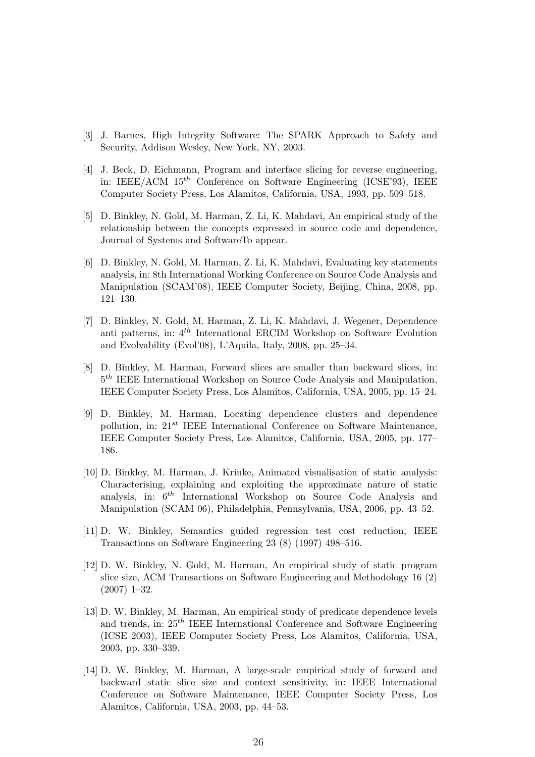- [3] J. Barnes, High Integrity Software: The SPARK Approach to Safety and Security, Addison Wesley, New York, NY, 2003.
- [4] J. Beck, D. Eichmann, Program and interface slicing for reverse engineering, in: IEEE/ACM  $15^{th}$  Conference on Software Engineering (ICSE'93), IEEE Computer Society Press, Los Alamitos, California, USA, 1993, pp. 509–518.
- [5] D. Binkley, N. Gold, M. Harman, Z. Li, K. Mahdavi, An empirical study of the relationship between the concepts expressed in source code and dependence, Journal of Systems and SoftwareTo appear.
- [6] D. Binkley, N. Gold, M. Harman, Z. Li, K. Mahdavi, Evaluating key statements analysis, in: 8th International Working Conference on Source Code Analysis and Manipulation (SCAM'08), IEEE Computer Society, Beijing, China, 2008, pp. 121–130.
- [7] D. Binkley, N. Gold, M. Harman, Z. Li, K. Mahdavi, J. Wegener, Dependence anti patterns, in:  $4^{th}$  International ERCIM Workshop on Software Evolution and Evolvability (Evol'08), L'Aquila, Italy, 2008, pp. 25–34.
- [8] D. Binkley, M. Harman, Forward slices are smaller than backward slices, in:  $5<sup>th</sup> IEEE International Workshop on Source Code Analysis and Manipulation,$ IEEE Computer Society Press, Los Alamitos, California, USA, 2005, pp. 15–24.
- [9] D. Binkley, M. Harman, Locating dependence clusters and dependence pollution, in:  $21^{st}$  IEEE International Conference on Software Maintenance, IEEE Computer Society Press, Los Alamitos, California, USA, 2005, pp. 177– 186.
- [10] D. Binkley, M. Harman, J. Krinke, Animated visualisation of static analysis: Characterising, explaining and exploiting the approximate nature of static analysis, in:  $6<sup>th</sup>$  International Workshop on Source Code Analysis and Manipulation (SCAM 06), Philadelphia, Pennsylvania, USA, 2006, pp. 43–52.
- [11] D. W. Binkley, Semantics guided regression test cost reduction, IEEE Transactions on Software Engineering 23 (8) (1997) 498–516.
- [12] D. W. Binkley, N. Gold, M. Harman, An empirical study of static program slice size, ACM Transactions on Software Engineering and Methodology 16 (2) (2007) 1–32.
- [13] D. W. Binkley, M. Harman, An empirical study of predicate dependence levels and trends, in:  $25<sup>th</sup>$  IEEE International Conference and Software Engineering (ICSE 2003), IEEE Computer Society Press, Los Alamitos, California, USA, 2003, pp. 330–339.
- [14] D. W. Binkley, M. Harman, A large-scale empirical study of forward and backward static slice size and context sensitivity, in: IEEE International Conference on Software Maintenance, IEEE Computer Society Press, Los Alamitos, California, USA, 2003, pp. 44–53.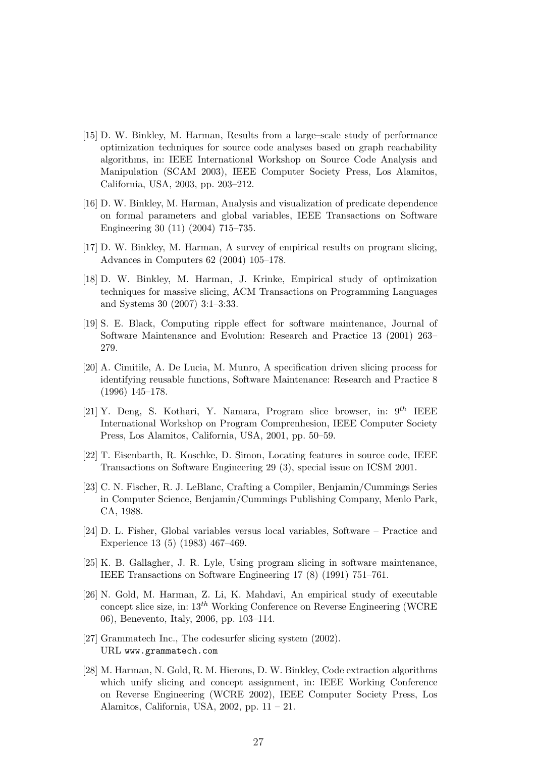- [15] D. W. Binkley, M. Harman, Results from a large–scale study of performance optimization techniques for source code analyses based on graph reachability algorithms, in: IEEE International Workshop on Source Code Analysis and Manipulation (SCAM 2003), IEEE Computer Society Press, Los Alamitos, California, USA, 2003, pp. 203–212.
- [16] D. W. Binkley, M. Harman, Analysis and visualization of predicate dependence on formal parameters and global variables, IEEE Transactions on Software Engineering 30 (11) (2004) 715–735.
- [17] D. W. Binkley, M. Harman, A survey of empirical results on program slicing, Advances in Computers 62 (2004) 105–178.
- [18] D. W. Binkley, M. Harman, J. Krinke, Empirical study of optimization techniques for massive slicing, ACM Transactions on Programming Languages and Systems 30 (2007) 3:1–3:33.
- [19] S. E. Black, Computing ripple effect for software maintenance, Journal of Software Maintenance and Evolution: Research and Practice 13 (2001) 263– 279.
- [20] A. Cimitile, A. De Lucia, M. Munro, A specification driven slicing process for identifying reusable functions, Software Maintenance: Research and Practice 8 (1996) 145–178.
- [21] Y. Deng, S. Kothari, Y. Namara, Program slice browser, in:  $9^{th}$  IEEE International Workshop on Program Comprenhesion, IEEE Computer Society Press, Los Alamitos, California, USA, 2001, pp. 50–59.
- [22] T. Eisenbarth, R. Koschke, D. Simon, Locating features in source code, IEEE Transactions on Software Engineering 29 (3), special issue on ICSM 2001.
- [23] C. N. Fischer, R. J. LeBlanc, Crafting a Compiler, Benjamin/Cummings Series in Computer Science, Benjamin/Cummings Publishing Company, Menlo Park, CA, 1988.
- [24] D. L. Fisher, Global variables versus local variables, Software Practice and Experience 13 (5) (1983) 467–469.
- [25] K. B. Gallagher, J. R. Lyle, Using program slicing in software maintenance, IEEE Transactions on Software Engineering 17 (8) (1991) 751–761.
- [26] N. Gold, M. Harman, Z. Li, K. Mahdavi, An empirical study of executable concept slice size, in:  $13^{th}$  Working Conference on Reverse Engineering (WCRE) 06), Benevento, Italy, 2006, pp. 103–114.
- [27] Grammatech Inc., The codesurfer slicing system (2002). URL www.grammatech.com
- [28] M. Harman, N. Gold, R. M. Hierons, D. W. Binkley, Code extraction algorithms which unify slicing and concept assignment, in: IEEE Working Conference on Reverse Engineering (WCRE 2002), IEEE Computer Society Press, Los Alamitos, California, USA, 2002, pp. 11 – 21.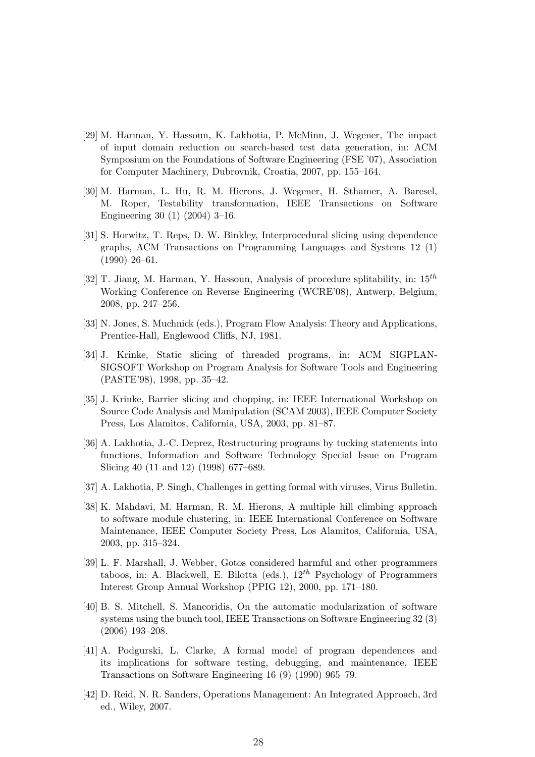- [29] M. Harman, Y. Hassoun, K. Lakhotia, P. McMinn, J. Wegener, The impact of input domain reduction on search-based test data generation, in: ACM Symposium on the Foundations of Software Engineering (FSE '07), Association for Computer Machinery, Dubrovnik, Croatia, 2007, pp. 155–164.
- [30] M. Harman, L. Hu, R. M. Hierons, J. Wegener, H. Sthamer, A. Baresel, M. Roper, Testability transformation, IEEE Transactions on Software Engineering 30 (1) (2004) 3–16.
- [31] S. Horwitz, T. Reps, D. W. Binkley, Interprocedural slicing using dependence graphs, ACM Transactions on Programming Languages and Systems 12 (1) (1990) 26–61.
- [32] T. Jiang, M. Harman, Y. Hassoun, Analysis of procedure splitability, in:  $15^{th}$ Working Conference on Reverse Engineering (WCRE'08), Antwerp, Belgium, 2008, pp. 247–256.
- [33] N. Jones, S. Muchnick (eds.), Program Flow Analysis: Theory and Applications, Prentice-Hall, Englewood Cliffs, NJ, 1981.
- [34] J. Krinke, Static slicing of threaded programs, in: ACM SIGPLAN-SIGSOFT Workshop on Program Analysis for Software Tools and Engineering (PASTE'98), 1998, pp. 35–42.
- [35] J. Krinke, Barrier slicing and chopping, in: IEEE International Workshop on Source Code Analysis and Manipulation (SCAM 2003), IEEE Computer Society Press, Los Alamitos, California, USA, 2003, pp. 81–87.
- [36] A. Lakhotia, J.-C. Deprez, Restructuring programs by tucking statements into functions, Information and Software Technology Special Issue on Program Slicing 40 (11 and 12) (1998) 677–689.
- [37] A. Lakhotia, P. Singh, Challenges in getting formal with viruses, Virus Bulletin.
- [38] K. Mahdavi, M. Harman, R. M. Hierons, A multiple hill climbing approach to software module clustering, in: IEEE International Conference on Software Maintenance, IEEE Computer Society Press, Los Alamitos, California, USA, 2003, pp. 315–324.
- [39] L. F. Marshall, J. Webber, Gotos considered harmful and other programmers taboos, in: A. Blackwell, E. Bilotta (eds.),  $12^{th}$  Psychology of Programmers Interest Group Annual Workshop (PPIG 12), 2000, pp. 171–180.
- [40] B. S. Mitchell, S. Mancoridis, On the automatic modularization of software systems using the bunch tool, IEEE Transactions on Software Engineering 32 (3) (2006) 193–208.
- [41] A. Podgurski, L. Clarke, A formal model of program dependences and its implications for software testing, debugging, and maintenance, IEEE Transactions on Software Engineering 16 (9) (1990) 965–79.
- [42] D. Reid, N. R. Sanders, Operations Management: An Integrated Approach, 3rd ed., Wiley, 2007.